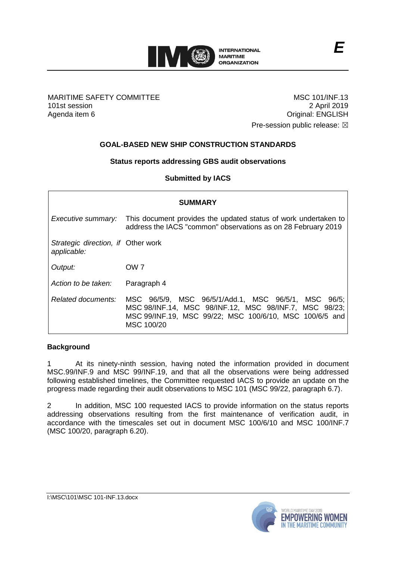

# MARITIME SAFETY COMMITTEE 101st session Agenda item 6

MSC 101/INF.13 2 April 2019 Original: ENGLISH Pre-session public release:  $\boxtimes$ 

# **GOAL-BASED NEW SHIP CONSTRUCTION STANDARDS**

# **Status reports addressing GBS audit observations**

**Submitted by IACS**

| <b>SUMMARY</b>                                    |                                                                                                                                                                                        |
|---------------------------------------------------|----------------------------------------------------------------------------------------------------------------------------------------------------------------------------------------|
| Executive summary:                                | This document provides the updated status of work undertaken to<br>address the IACS "common" observations as on 28 February 2019                                                       |
| Strategic direction, if Other work<br>applicable: |                                                                                                                                                                                        |
| Output:                                           | OW 7                                                                                                                                                                                   |
| Action to be taken:                               | Paragraph 4                                                                                                                                                                            |
| Related documents:                                | MSC 96/5/9, MSC 96/5/1/Add.1, MSC 96/5/1, MSC 96/5;<br>MSC 98/INF.14, MSC 98/INF.12, MSC 98/INF.7, MSC 98/23;<br>MSC 99/INF.19, MSC 99/22; MSC 100/6/10, MSC 100/6/5 and<br>MSC 100/20 |

# **Background**

1 At its ninety-ninth session, having noted the information provided in document MSC.99/INF.9 and MSC 99/INF.19, and that all the observations were being addressed following established timelines, the Committee requested IACS to provide an update on the progress made regarding their audit observations to MSC 101 (MSC 99/22, paragraph 6.7).

2 In addition, MSC 100 requested IACS to provide information on the status reports addressing observations resulting from the first maintenance of verification audit, in accordance with the timescales set out in document MSC 100/6/10 and MSC 100/INF.7 (MSC 100/20, paragraph 6.20).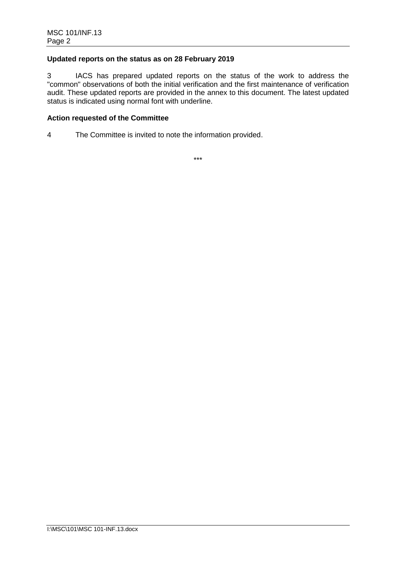# **Updated reports on the status as on 28 February 2019**

3 IACS has prepared updated reports on the status of the work to address the "common" observations of both the initial verification and the first maintenance of verification audit. These updated reports are provided in the annex to this document. The latest updated status is indicated using normal font with underline.

# **Action requested of the Committee**

4 The Committee is invited to note the information provided.

\*\*\*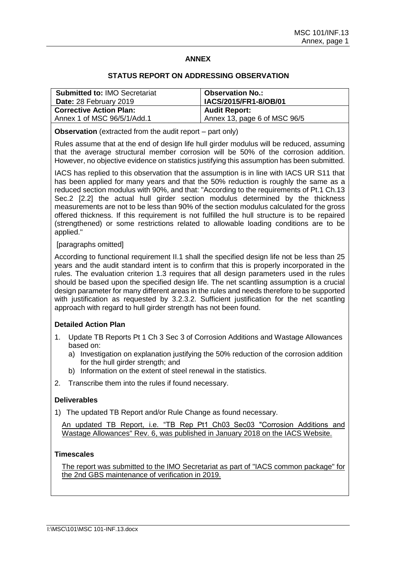## **ANNEX**

### **STATUS REPORT ON ADDRESSING OBSERVATION**

| <b>Submitted to: IMO Secretariat</b><br>Date: 28 February 2019 | <b>Observation No.:</b><br>IACS/2015/FR1-8/OB/01 |
|----------------------------------------------------------------|--------------------------------------------------|
| <b>Corrective Action Plan:</b>                                 | <b>Audit Report:</b>                             |
| Annex 1 of MSC 96/5/1/Add.1                                    | Annex 13, page 6 of MSC 96/5                     |

**Observation** (extracted from the audit report – part only)

Rules assume that at the end of design life hull girder modulus will be reduced, assuming that the average structural member corrosion will be 50% of the corrosion addition. However, no objective evidence on statistics justifying this assumption has been submitted.

IACS has replied to this observation that the assumption is in line with IACS UR S11 that has been applied for many years and that the 50% reduction is roughly the same as a reduced section modulus with 90%, and that: "According to the requirements of Pt.1 Ch.13 Sec.2 [2.2] the actual hull girder section modulus determined by the thickness measurements are not to be less than 90% of the section modulus calculated for the gross offered thickness. If this requirement is not fulfilled the hull structure is to be repaired (strengthened) or some restrictions related to allowable loading conditions are to be applied."

## [paragraphs omitted]

According to functional requirement II.1 shall the specified design life not be less than 25 years and the audit standard intent is to confirm that this is properly incorporated in the rules. The evaluation criterion 1.3 requires that all design parameters used in the rules should be based upon the specified design life. The net scantling assumption is a crucial design parameter for many different areas in the rules and needs therefore to be supported with justification as requested by 3.2.3.2. Sufficient justification for the net scantling approach with regard to hull girder strength has not been found.

# **Detailed Action Plan**

- 1. Update TB Reports Pt 1 Ch 3 Sec 3 of Corrosion Additions and Wastage Allowances based on:
	- a) Investigation on explanation justifying the 50% reduction of the corrosion addition for the hull girder strength; and
	- b) Information on the extent of steel renewal in the statistics.
- 2. Transcribe them into the rules if found necessary.

### **Deliverables**

1) The updated TB Report and/or Rule Change as found necessary.

An updated TB Report, i.e. "TB Rep Pt1 Ch03 Sec03 "Corrosion Additions and Wastage Allowances" Rev. 6, was published in January 2018 on the IACS Website.

# **Timescales**

The report was submitted to the IMO Secretariat as part of "IACS common package" for the 2nd GBS maintenance of verification in 2019.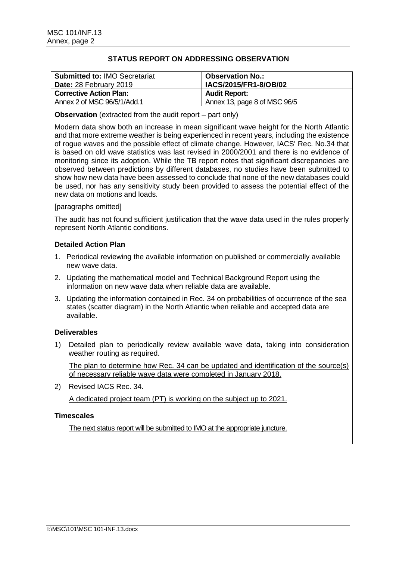| <b>Submitted to: IMO Secretariat</b><br>Date: 28 February 2019 | <b>Observation No.:</b><br>IACS/2015/FR1-8/OB/02 |
|----------------------------------------------------------------|--------------------------------------------------|
| <b>Corrective Action Plan:</b>                                 | <b>Audit Report:</b>                             |
| Annex 2 of MSC 96/5/1/Add.1                                    | Annex 13, page 8 of MSC 96/5                     |

**Observation** (extracted from the audit report – part only)

Modern data show both an increase in mean significant wave height for the North Atlantic and that more extreme weather is being experienced in recent years, including the existence of rogue waves and the possible effect of climate change. However, IACS' Rec. No.34 that is based on old wave statistics was last revised in 2000/2001 and there is no evidence of monitoring since its adoption. While the TB report notes that significant discrepancies are observed between predictions by different databases, no studies have been submitted to show how new data have been assessed to conclude that none of the new databases could be used, nor has any sensitivity study been provided to assess the potential effect of the new data on motions and loads.

## [paragraphs omitted]

The audit has not found sufficient justification that the wave data used in the rules properly represent North Atlantic conditions.

# **Detailed Action Plan**

- 1. Periodical reviewing the available information on published or commercially available new wave data.
- 2. Updating the mathematical model and Technical Background Report using the information on new wave data when reliable data are available.
- 3. Updating the information contained in Rec. 34 on probabilities of occurrence of the sea states (scatter diagram) in the North Atlantic when reliable and accepted data are available.

# **Deliverables**

1) Detailed plan to periodically review available wave data, taking into consideration weather routing as required.

The plan to determine how Rec. 34 can be updated and identification of the source(s) of necessary reliable wave data were completed in January 2018.

2) Revised IACS Rec. 34.

A dedicated project team (PT) is working on the subject up to 2021.

### **Timescales**

The next status report will be submitted to IMO at the appropriate juncture.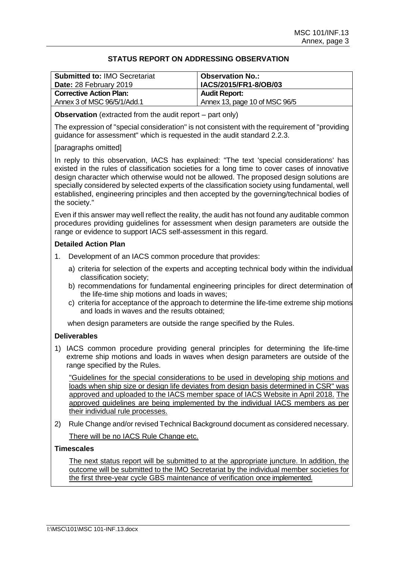| <b>Submitted to: IMO Secretariat</b><br>Date: 28 February 2019 | Observation No.:<br>IACS/2015/FR1-8/OB/03 |
|----------------------------------------------------------------|-------------------------------------------|
| <b>Corrective Action Plan:</b>                                 | <b>Audit Report:</b>                      |
| Annex 3 of MSC 96/5/1/Add.1                                    | Annex 13, page 10 of MSC 96/5             |
|                                                                |                                           |

**Observation** (extracted from the audit report – part only)

The expression of "special consideration" is not consistent with the requirement of "providing guidance for assessment" which is requested in the audit standard 2.2.3.

# [paragraphs omitted]

In reply to this observation, IACS has explained: "The text 'special considerations' has existed in the rules of classification societies for a long time to cover cases of innovative design character which otherwise would not be allowed. The proposed design solutions are specially considered by selected experts of the classification society using fundamental, well established, engineering principles and then accepted by the governing/technical bodies of the society."

Even if this answer may well reflect the reality, the audit has not found any auditable common procedures providing guidelines for assessment when design parameters are outside the range or evidence to support IACS self-assessment in this regard.

## **Detailed Action Plan**

- 1. Development of an IACS common procedure that provides:
	- a) criteria for selection of the experts and accepting technical body within the individual classification society;
	- b) recommendations for fundamental engineering principles for direct determination of the life-time ship motions and loads in waves;
	- c) criteria for acceptance of the approach to determine the life-time extreme ship motions and loads in waves and the results obtained;

when design parameters are outside the range specified by the Rules.

# **Deliverables**

1) IACS common procedure providing general principles for determining the life-time extreme ship motions and loads in waves when design parameters are outside of the range specified by the Rules.

"Guidelines for the special considerations to be used in developing ship motions and loads when ship size or design life deviates from design basis determined in CSR" was approved and uploaded to the IACS member space of IACS Website in April 2018. The approved guidelines are being implemented by the individual IACS members as per their individual rule processes.

2) Rule Change and/or revised Technical Background document as considered necessary. There will be no IACS Rule Change etc.

# **Timescales**

The next status report will be submitted to at the appropriate juncture. In addition, the outcome will be submitted to the IMO Secretariat by the individual member societies for the first three-year cycle GBS maintenance of verification once implemented.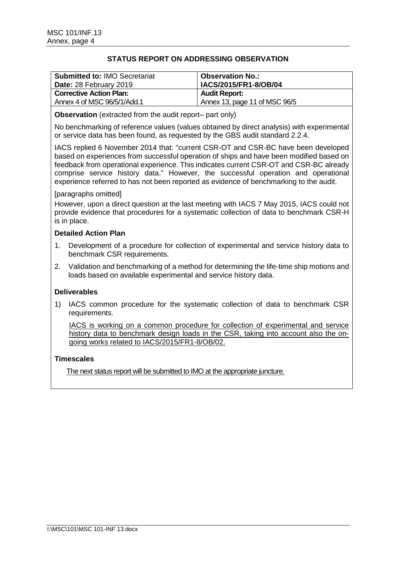| <b>Submitted to: IMO Secretariat</b><br>Date: 28 February 2019 | <b>Observation No.:</b><br>IACS/2015/FR1-8/OB/04 |
|----------------------------------------------------------------|--------------------------------------------------|
| <b>Corrective Action Plan:</b>                                 | <b>Audit Report:</b>                             |
| Annex 4 of MSC 96/5/1/Add.1                                    | Annex 13, page 11 of MSC 96/5                    |

**Observation** (extracted from the audit report– part only)

No benchmarking of reference values (values obtained by direct analysis) with experimental or service data has been found, as requested by the GBS audit standard 2.2.4.

IACS replied 6 November 2014 that: "current CSR-OT and CSR-BC have been developed based on experiences from successful operation of ships and have been modified based on feedback from operational experience. This indicates current CSR-OT and CSR-BC already comprise service history data." However, the successful operation and operational experience referred to has not been reported as evidence of benchmarking to the audit.

## [paragraphs omitted]

However, upon a direct question at the last meeting with IACS 7 May 2015, IACS could not provide evidence that procedures for a systematic collection of data to benchmark CSR-H is in place.

## **Detailed Action Plan**

- 1. Development of a procedure for collection of experimental and service history data to benchmark CSR requirements.
- 2. Validation and benchmarking of a method for determining the life-time ship motions and loads based on available experimental and service history data.

# **Deliverables**

1) IACS common procedure for the systematic collection of data to benchmark CSR requirements.

IACS is working on a common procedure for collection of experimental and service history data to benchmark design loads in the CSR, taking into account also the ongoing works related to IACS/2015/FR1-8/OB/02.

### **Timescales**

The next status report will be submitted to IMO at the appropriate juncture.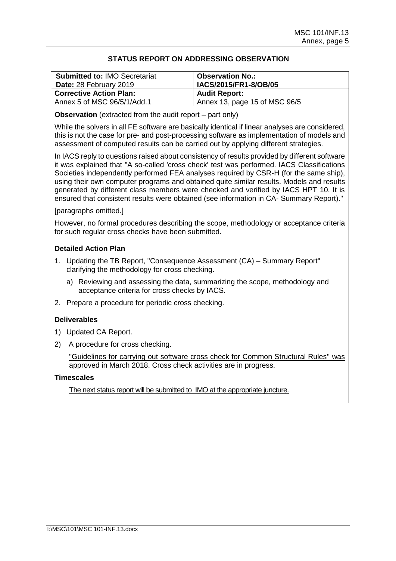| <b>Submitted to: IMO Secretariat</b><br>Date: 28 February 2019 | <b>Observation No.:</b><br>IACS/2015/FR1-8/OB/05 |
|----------------------------------------------------------------|--------------------------------------------------|
| <b>Corrective Action Plan:</b>                                 | <b>Audit Report:</b>                             |
| Annex 5 of MSC 96/5/1/Add.1                                    | Annex 13, page 15 of MSC 96/5                    |

**Observation** (extracted from the audit report – part only)

While the solvers in all FE software are basically identical if linear analyses are considered, this is not the case for pre- and post-processing software as implementation of models and assessment of computed results can be carried out by applying different strategies.

In IACS reply to questions raised about consistency of results provided by different software it was explained that "A so-called 'cross check' test was performed. IACS Classifications Societies independently performed FEA analyses required by CSR-H (for the same ship), using their own computer programs and obtained quite similar results. Models and results generated by different class members were checked and verified by IACS HPT 10. It is ensured that consistent results were obtained (see information in CA- Summary Report)."

### [paragraphs omitted.]

However, no formal procedures describing the scope, methodology or acceptance criteria for such regular cross checks have been submitted.

# **Detailed Action Plan**

- 1. Updating the TB Report, "Consequence Assessment (CA) Summary Report" clarifying the methodology for cross checking.
	- a) Reviewing and assessing the data, summarizing the scope, methodology and acceptance criteria for cross checks by IACS.
- 2. Prepare a procedure for periodic cross checking.

# **Deliverables**

- 1) Updated CA Report.
- 2) A procedure for cross checking.

"Guidelines for carrying out software cross check for Common Structural Rules" was approved in March 2018. Cross check activities are in progress.

## **Timescales**

The next status report will be submitted to IMO at the appropriate juncture.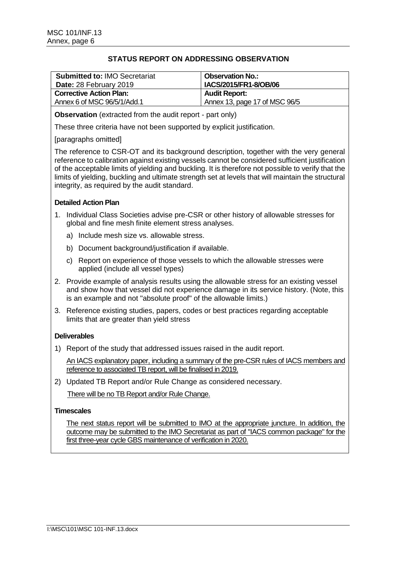| <b>Submitted to: IMO Secretariat</b><br>Date: 28 February 2019 | <b>Observation No.:</b><br>IACS/2015/FR1-8/OB/06 |
|----------------------------------------------------------------|--------------------------------------------------|
| <b>Corrective Action Plan:</b>                                 | <b>Audit Report:</b>                             |
| Annex 6 of MSC 96/5/1/Add.1                                    | Annex 13, page 17 of MSC 96/5                    |

**Observation** (extracted from the audit report - part only)

These three criteria have not been supported by explicit justification.

[paragraphs omitted]

The reference to CSR-OT and its background description, together with the very general reference to calibration against existing vessels cannot be considered sufficient justification of the acceptable limits of yielding and buckling. It is therefore not possible to verify that the limits of yielding, buckling and ultimate strength set at levels that will maintain the structural integrity, as required by the audit standard.

# **Detailed Action Plan**

- 1. Individual Class Societies advise pre-CSR or other history of allowable stresses for global and fine mesh finite element stress analyses.
	- a) Include mesh size vs. allowable stress.
	- b) Document background/justification if available.
	- c) Report on experience of those vessels to which the allowable stresses were applied (include all vessel types)
- 2. Provide example of analysis results using the allowable stress for an existing vessel and show how that vessel did not experience damage in its service history. (Note, this is an example and not "absolute proof" of the allowable limits.)
- 3. Reference existing studies, papers, codes or best practices regarding acceptable limits that are greater than yield stress

# **Deliverables**

1) Report of the study that addressed issues raised in the audit report.

An IACS explanatory paper, including a summary of the pre-CSR rules of IACS members and reference to associated TB report, will be finalised in 2019.

2) Updated TB Report and/or Rule Change as considered necessary.

There will be no TB Report and/or Rule Change.

### **Timescales**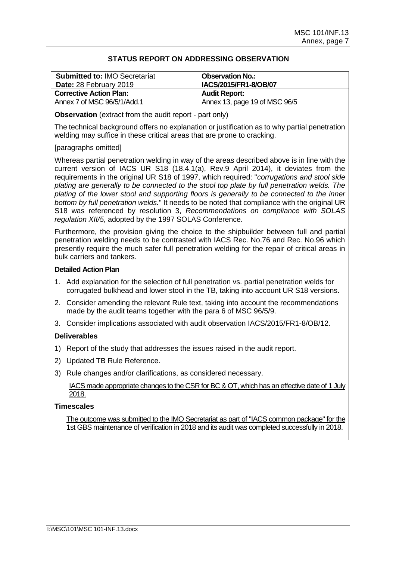| <b>Observation No.:</b><br>IACS/2015/FR1-8/OB/07 |
|--------------------------------------------------|
| <b>Audit Report:</b>                             |
| Annex 13, page 19 of MSC 96/5                    |
|                                                  |

**Observation** (extract from the audit report - part only)

The technical background offers no explanation or justification as to why partial penetration welding may suffice in these critical areas that are prone to cracking.

# [paragraphs omitted]

Whereas partial penetration welding in way of the areas described above is in line with the current version of IACS UR S18 (18.4.1(a), Rev.9 April 2014), it deviates from the requirements in the original UR S18 of 1997, which required: "*corrugations and stool side plating are generally to be connected to the stool top plate by full penetration welds. The plating of the lower stool and supporting floors is generally to be connected to the inner bottom by full penetration welds.*" It needs to be noted that compliance with the original UR S18 was referenced by resolution 3, *Recommendations on compliance with SOLAS regulation XII/5*, adopted by the 1997 SOLAS Conference.

Furthermore, the provision giving the choice to the shipbuilder between full and partial penetration welding needs to be contrasted with IACS Rec. No.76 and Rec. No.96 which presently require the much safer full penetration welding for the repair of critical areas in bulk carriers and tankers.

### **Detailed Action Plan**

- 1. Add explanation for the selection of full penetration vs. partial penetration welds for corrugated bulkhead and lower stool in the TB, taking into account UR S18 versions.
- 2. Consider amending the relevant Rule text, taking into account the recommendations made by the audit teams together with the para 6 of MSC 96/5/9.
- 3. Consider implications associated with audit observation IACS/2015/FR1-8/OB/12.

# **Deliverables**

- 1) Report of the study that addresses the issues raised in the audit report.
- 2) Updated TB Rule Reference.
- 3) Rule changes and/or clarifications, as considered necessary.

IACS made appropriate changes to the CSR for BC & OT, which has an effective date of 1 July 2018.

### **Timescales**

The outcome was submitted to the IMO Secretariat as part of "IACS common package" for the 1st GBS maintenance of verification in 2018 and its audit was completed successfully in 2018.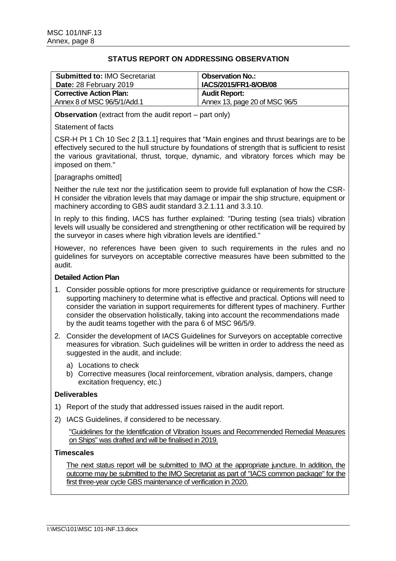| <b>Submitted to: IMO Secretariat</b><br>Date: 28 February 2019 | <b>Observation No.:</b><br>IACS/2015/FR1-8/OB/08 |
|----------------------------------------------------------------|--------------------------------------------------|
| <b>Corrective Action Plan:</b>                                 | <b>Audit Report:</b>                             |
| Annex 8 of MSC 96/5/1/Add.1                                    | Annex 13, page 20 of MSC 96/5                    |

**Observation** (extract from the audit report – part only)

## Statement of facts

CSR-H Pt 1 Ch 10 Sec 2 [3.1.1] requires that "Main engines and thrust bearings are to be effectively secured to the hull structure by foundations of strength that is sufficient to resist the various gravitational, thrust, torque, dynamic, and vibratory forces which may be imposed on them."

## [paragraphs omitted]

Neither the rule text nor the justification seem to provide full explanation of how the CSR-H consider the vibration levels that may damage or impair the ship structure, equipment or machinery according to GBS audit standard 3.2.1.11 and 3.3.10.

In reply to this finding, IACS has further explained: "During testing (sea trials) vibration levels will usually be considered and strengthening or other rectification will be required by the surveyor in cases where high vibration levels are identified."

However, no references have been given to such requirements in the rules and no guidelines for surveyors on acceptable corrective measures have been submitted to the audit.

### **Detailed Action Plan**

- 1. Consider possible options for more prescriptive guidance or requirements for structure supporting machinery to determine what is effective and practical. Options will need to consider the variation in support requirements for different types of machinery. Further consider the observation holistically, taking into account the recommendations made by the audit teams together with the para 6 of MSC 96/5/9.
- 2. Consider the development of IACS Guidelines for Surveyors on acceptable corrective measures for vibration. Such guidelines will be written in order to address the need as suggested in the audit, and include:
	- a) Locations to check
	- b) Corrective measures (local reinforcement, vibration analysis, dampers, change excitation frequency, etc.)

### **Deliverables**

- 1) Report of the study that addressed issues raised in the audit report.
- 2) IACS Guidelines, if considered to be necessary.

"Guidelines for the Identification of Vibration Issues and Recommended Remedial Measures on Ships" was drafted and will be finalised in 2019.

### **Timescales**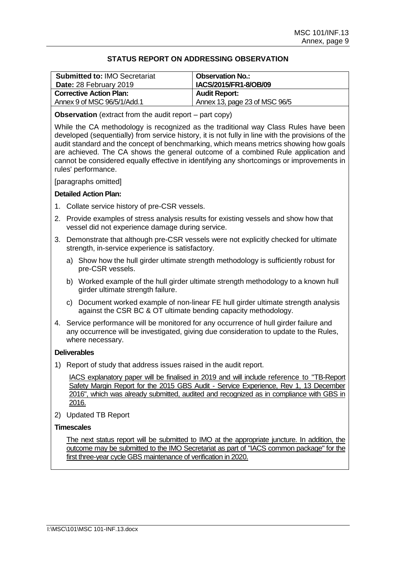| <b>Submitted to: IMO Secretariat</b><br>Date: 28 February 2019 | <b>Observation No.:</b><br>IACS/2015/FR1-8/OB/09 |
|----------------------------------------------------------------|--------------------------------------------------|
| <b>Corrective Action Plan:</b>                                 | <b>Audit Report:</b>                             |
| Annex 9 of MSC 96/5/1/Add.1                                    | Annex 13, page 23 of MSC 96/5                    |

**Observation** (extract from the audit report – part copy)

While the CA methodology is recognized as the traditional way Class Rules have been developed (sequentially) from service history, it is not fully in line with the provisions of the audit standard and the concept of benchmarking, which means metrics showing how goals are achieved. The CA shows the general outcome of a combined Rule application and cannot be considered equally effective in identifying any shortcomings or improvements in rules' performance.

[paragraphs omitted]

## **Detailed Action Plan:**

- 1. Collate service history of pre-CSR vessels.
- 2. Provide examples of stress analysis results for existing vessels and show how that vessel did not experience damage during service.
- 3. Demonstrate that although pre-CSR vessels were not explicitly checked for ultimate strength, in-service experience is satisfactory.
	- a) Show how the hull girder ultimate strength methodology is sufficiently robust for pre-CSR vessels.
	- b) Worked example of the hull girder ultimate strength methodology to a known hull girder ultimate strength failure.
	- c) Document worked example of non-linear FE hull girder ultimate strength analysis against the CSR BC & OT ultimate bending capacity methodology.
- 4. Service performance will be monitored for any occurrence of hull girder failure and any occurrence will be investigated, giving due consideration to update to the Rules, where necessary.

### **Deliverables**

1) Report of study that address issues raised in the audit report.

IACS explanatory paper will be finalised in 2019 and will include reference to "TB-Report Safety Margin Report for the 2015 GBS Audit - Service Experience, Rev 1, 13 December 2016", which was already submitted, audited and recognized as in compliance with GBS in 2016.

2) Updated TB Report

# **Timescales**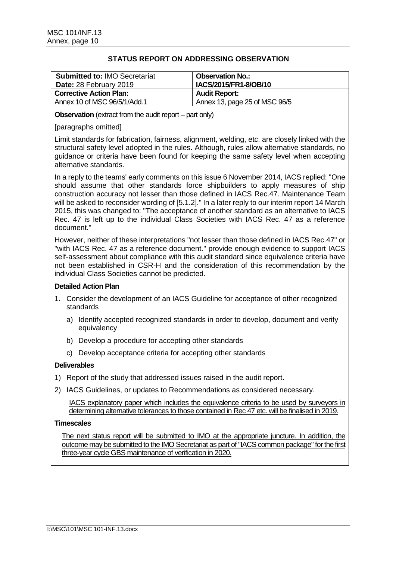| <b>Submitted to: IMO Secretariat</b><br>Date: 28 February 2019 | <b>Observation No.:</b><br>IACS/2015/FR1-8/OB/10 |
|----------------------------------------------------------------|--------------------------------------------------|
| <b>Corrective Action Plan:</b>                                 | <b>Audit Report:</b>                             |
| Annex 10 of MSC 96/5/1/Add.1                                   | Annex 13, page 25 of MSC 96/5                    |

**Observation** (extract from the audit report – part only)

## [paragraphs omitted]

Limit standards for fabrication, fairness, alignment, welding, etc. are closely linked with the structural safety level adopted in the rules. Although, rules allow alternative standards, no guidance or criteria have been found for keeping the same safety level when accepting alternative standards.

In a reply to the teams' early comments on this issue 6 November 2014, IACS replied: "One should assume that other standards force shipbuilders to apply measures of ship construction accuracy not lesser than those defined in IACS Rec.47. Maintenance Team will be asked to reconsider wording of [5.1.2]." In a later reply to our interim report 14 March 2015, this was changed to: "The acceptance of another standard as an alternative to IACS Rec. 47 is left up to the individual Class Societies with IACS Rec. 47 as a reference document*.*"

However, neither of these interpretations "not lesser than those defined in IACS Rec.47" or "with IACS Rec. 47 as a reference document." provide enough evidence to support IACS self-assessment about compliance with this audit standard since equivalence criteria have not been established in CSR-H and the consideration of this recommendation by the individual Class Societies cannot be predicted.

### **Detailed Action Plan**

- 1. Consider the development of an IACS Guideline for acceptance of other recognized standards
	- a) Identify accepted recognized standards in order to develop, document and verify equivalency
	- b) Develop a procedure for accepting other standards
	- c) Develop acceptance criteria for accepting other standards

### **Deliverables**

- 1) Report of the study that addressed issues raised in the audit report.
- 2) IACS Guidelines, or updates to Recommendations as considered necessary.

IACS explanatory paper which includes the equivalence criteria to be used by surveyors in determining alternative tolerances to those contained in Rec 47 etc. will be finalised in 2019.

## **Timescales**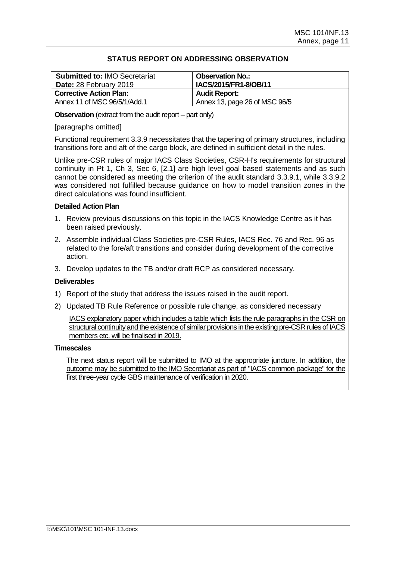| <b>Submitted to: IMO Secretariat</b><br>Date: 28 February 2019 | <b>Observation No.:</b><br>IACS/2015/FR1-8/OB/11 |
|----------------------------------------------------------------|--------------------------------------------------|
| <b>Corrective Action Plan:</b>                                 | <b>Audit Report:</b>                             |
| Annex 11 of MSC 96/5/1/Add.1                                   | Annex 13, page 26 of MSC 96/5                    |

**Observation** (extract from the audit report – part only)

### [paragraphs omitted]

Functional requirement 3.3.9 necessitates that the tapering of primary structures, including transitions fore and aft of the cargo block, are defined in sufficient detail in the rules.

Unlike pre-CSR rules of major IACS Class Societies, CSR-H's requirements for structural continuity in Pt 1, Ch 3, Sec 6, [2.1] are high level goal based statements and as such cannot be considered as meeting the criterion of the audit standard 3.3.9.1, while 3.3.9.2 was considered not fulfilled because guidance on how to model transition zones in the direct calculations was found insufficient.

## **Detailed Action Plan**

- 1. Review previous discussions on this topic in the IACS Knowledge Centre as it has been raised previously.
- 2. Assemble individual Class Societies pre-CSR Rules, IACS Rec. 76 and Rec. 96 as related to the fore/aft transitions and consider during development of the corrective action.
- 3. Develop updates to the TB and/or draft RCP as considered necessary.

### **Deliverables**

- 1) Report of the study that address the issues raised in the audit report.
- 2) Updated TB Rule Reference or possible rule change, as considered necessary

IACS explanatory paper which includes a table which lists the rule paragraphs in the CSR on structural continuityand the existence of similar provisions in the existing pre-CSR rules of IACS members etc. will be finalised in 2019.

# **Timescales**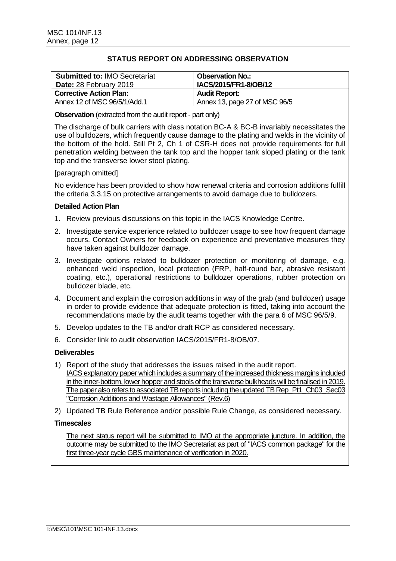| <b>Submitted to: IMO Secretariat</b><br>Date: 28 February 2019 | <b>Observation No.:</b><br>IACS/2015/FR1-8/OB/12 |
|----------------------------------------------------------------|--------------------------------------------------|
| <b>Corrective Action Plan:</b>                                 | <b>Audit Report:</b>                             |
| Annex 12 of MSC 96/5/1/Add.1                                   | Annex 13, page 27 of MSC 96/5                    |

**Observation** (extracted from the audit report - part only)

The discharge of bulk carriers with class notation BC-A & BC-B invariably necessitates the use of bulldozers, which frequently cause damage to the plating and welds in the vicinity of the bottom of the hold. Still Pt 2, Ch 1 of CSR-H does not provide requirements for full penetration welding between the tank top and the hopper tank sloped plating or the tank top and the transverse lower stool plating.

## [paragraph omitted]

No evidence has been provided to show how renewal criteria and corrosion additions fulfill the criteria 3.3.15 on protective arrangements to avoid damage due to bulldozers.

## **Detailed Action Plan**

- 1. Review previous discussions on this topic in the IACS Knowledge Centre.
- 2. Investigate service experience related to bulldozer usage to see how frequent damage occurs. Contact Owners for feedback on experience and preventative measures they have taken against bulldozer damage.
- 3. Investigate options related to bulldozer protection or monitoring of damage, e.g. enhanced weld inspection, local protection (FRP, half-round bar, abrasive resistant coating, etc.), operational restrictions to bulldozer operations, rubber protection on bulldozer blade, etc.
- 4. Document and explain the corrosion additions in way of the grab (and bulldozer) usage in order to provide evidence that adequate protection is fitted, taking into account the recommendations made by the audit teams together with the para 6 of MSC 96/5/9.
- 5. Develop updates to the TB and/or draft RCP as considered necessary.
- 6. Consider link to audit observation IACS/2015/FR1-8/OB/07.

### **Deliverables**

- 1) Report of the study that addresses the issues raised in the audit report. IACS explanatory paper which includes a summary of the increased thickness margins included in the inner-bottom, lower hopper and stools of the transverse bulkheads will be finalised in 2019. The paper also refers to associated TB reports including the updated TB Rep\_Pt1\_Ch03\_Sec03 "Corrosion Additions and Wastage Allowances" (Rev.6)
- 2) Updated TB Rule Reference and/or possible Rule Change, as considered necessary.

### **Timescales**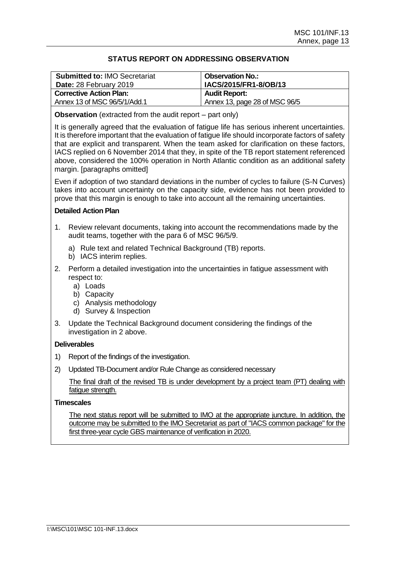| <b>Submitted to: IMO Secretariat</b><br>Date: 28 February 2019 | <b>Observation No.:</b><br>IACS/2015/FR1-8/OB/13 |
|----------------------------------------------------------------|--------------------------------------------------|
| <b>Corrective Action Plan:</b>                                 | <b>Audit Report:</b>                             |
| Annex 13 of MSC 96/5/1/Add.1                                   | Annex 13, page 28 of MSC 96/5                    |

**Observation** (extracted from the audit report – part only)

It is generally agreed that the evaluation of fatigue life has serious inherent uncertainties. It is therefore important that the evaluation of fatigue life should incorporate factors of safety that are explicit and transparent. When the team asked for clarification on these factors, IACS replied on 6 November 2014 that they, in spite of the TB report statement referenced above, considered the 100% operation in North Atlantic condition as an additional safety margin. [paragraphs omitted]

Even if adoption of two standard deviations in the number of cycles to failure (S-N Curves) takes into account uncertainty on the capacity side, evidence has not been provided to prove that this margin is enough to take into account all the remaining uncertainties.

## **Detailed Action Plan**

- 1. Review relevant documents, taking into account the recommendations made by the audit teams, together with the para 6 of MSC 96/5/9.
	- a) Rule text and related Technical Background (TB) reports.
	- b) IACS interim replies.
- 2. Perform a detailed investigation into the uncertainties in fatigue assessment with respect to:
	- a) Loads
	- b) Capacity
	- c) Analysis methodology
	- d) Survey & Inspection
- 3. Update the Technical Background document considering the findings of the investigation in 2 above.

# **Deliverables**

- 1) Report of the findings of the investigation.
- 2) Updated TB-Document and/or Rule Change as considered necessary

The final draft of the revised TB is under development by a project team (PT) dealing with fatigue strength.

## **Timescales**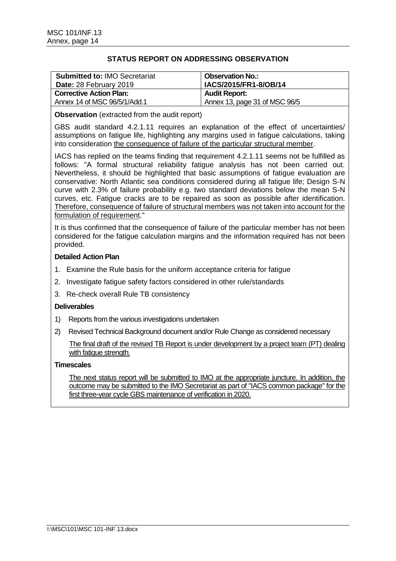| <b>Submitted to: IMO Secretariat</b><br>Date: 28 February 2019 | <b>Observation No.:</b><br>IACS/2015/FR1-8/OB/14 |
|----------------------------------------------------------------|--------------------------------------------------|
| <b>Corrective Action Plan:</b>                                 | <b>Audit Report:</b>                             |
| Annex 14 of MSC 96/5/1/Add.1                                   | Annex 13, page 31 of MSC 96/5                    |

**Observation** (extracted from the audit report)

GBS audit standard 4.2.1.11 requires an explanation of the effect of uncertainties/ assumptions on fatigue life, highlighting any margins used in fatigue calculations, taking into consideration the consequence of failure of the particular structural member.

IACS has replied on the teams finding that requirement 4.2.1.11 seems not be fulfilled as follows: "A formal structural reliability fatigue analysis has not been carried out. Nevertheless, it should be highlighted that basic assumptions of fatigue evaluation are conservative: North Atlantic sea conditions considered during all fatigue life; Design S-N curve with 2.3% of failure probability e.g. two standard deviations below the mean S-N curves, etc. Fatigue cracks are to be repaired as soon as possible after identification. Therefore, consequence of failure of structural members was not taken into account for the formulation of requirement."

It is thus confirmed that the consequence of failure of the particular member has not been considered for the fatigue calculation margins and the information required has not been provided.

## **Detailed Action Plan**

- 1. Examine the Rule basis for the uniform acceptance criteria for fatigue
- 2. Investigate fatigue safety factors considered in other rule/standards
- 3. Re-check overall Rule TB consistency

### **Deliverables**

- 1) Reports from the various investigations undertaken
- 2) Revised Technical Background document and/or Rule Change as considered necessary

The final draft of the revised TB Report is under development by a project team (PT) dealing with fatigue strength.

## **Timescales**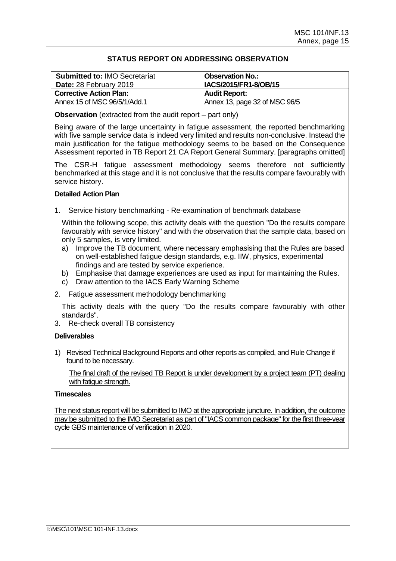| <b>Submitted to: IMO Secretariat</b><br>Date: 28 February 2019 | <b>Observation No.:</b><br>IACS/2015/FR1-8/OB/15 |
|----------------------------------------------------------------|--------------------------------------------------|
| <b>Corrective Action Plan:</b>                                 | <b>Audit Report:</b>                             |
| Annex 15 of MSC 96/5/1/Add.1                                   | Annex 13, page 32 of MSC 96/5                    |

**Observation** (extracted from the audit report – part only)

Being aware of the large uncertainty in fatigue assessment, the reported benchmarking with five sample service data is indeed very limited and results non-conclusive. Instead the main justification for the fatigue methodology seems to be based on the Consequence Assessment reported in TB Report 21 CA Report General Summary. [paragraphs omitted]

The CSR-H fatigue assessment methodology seems therefore not sufficiently benchmarked at this stage and it is not conclusive that the results compare favourably with service history.

## **Detailed Action Plan**

1. Service history benchmarking - Re-examination of benchmark database

Within the following scope, this activity deals with the question "Do the results compare favourably with service history" and with the observation that the sample data, based on only 5 samples, is very limited.

- a) Improve the TB document, where necessary emphasising that the Rules are based on well-established fatigue design standards, e.g. IIW, physics, experimental findings and are tested by service experience.
- b) Emphasise that damage experiences are used as input for maintaining the Rules.
- c) Draw attention to the IACS Early Warning Scheme
- 2. Fatigue assessment methodology benchmarking

This activity deals with the query "Do the results compare favourably with other standards".

3. Re-check overall TB consistency

# **Deliverables**

1) Revised Technical Background Reports and other reports as compiled, and Rule Change if found to be necessary.

The final draft of the revised TB Report is under development by a project team (PT) dealing with fatigue strength.

## **Timescales**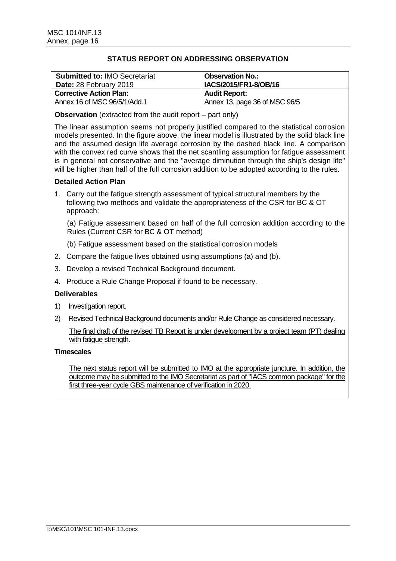| <b>Submitted to: IMO Secretariat</b><br>Date: 28 February 2019 | <b>Observation No.:</b><br>IACS/2015/FR1-8/OB/16 |
|----------------------------------------------------------------|--------------------------------------------------|
| <b>Corrective Action Plan:</b>                                 | <b>Audit Report:</b>                             |
| Annex 16 of MSC 96/5/1/Add.1                                   | Annex 13, page 36 of MSC 96/5                    |

**Observation** (extracted from the audit report – part only)

The linear assumption seems not properly justified compared to the statistical corrosion models presented. In the figure above, the linear model is illustrated by the solid black line and the assumed design life average corrosion by the dashed black line. A comparison with the convex red curve shows that the net scantling assumption for fatigue assessment is in general not conservative and the "average diminution through the ship's design life" will be higher than half of the full corrosion addition to be adopted according to the rules.

# **Detailed Action Plan**

1. Carry out the fatigue strength assessment of typical structural members by the following two methods and validate the appropriateness of the CSR for BC & OT approach:

(a) Fatigue assessment based on half of the full corrosion addition according to the Rules (Current CSR for BC & OT method)

(b) Fatigue assessment based on the statistical corrosion models

- 2. Compare the fatigue lives obtained using assumptions (a) and (b).
- 3. Develop a revised Technical Background document.
- 4. Produce a Rule Change Proposal if found to be necessary.

### **Deliverables**

- 1) Investigation report.
- 2) Revised Technical Background documents and/or Rule Change as considered necessary.

The final draft of the revised TB Report is under development by a project team (PT) dealing with fatique strength.

### **Timescales**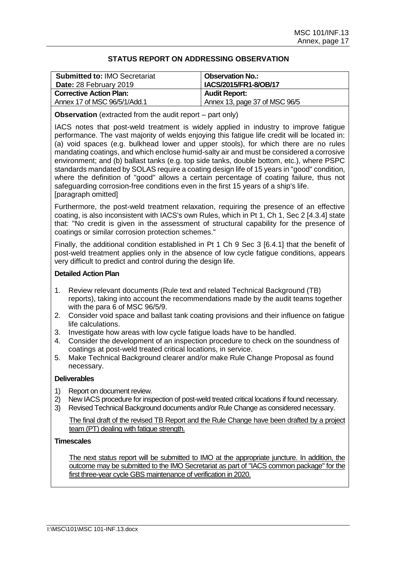| <b>Submitted to: IMO Secretariat</b><br>Date: 28 February 2019 | <b>Observation No.:</b><br>IACS/2015/FR1-8/OB/17 |
|----------------------------------------------------------------|--------------------------------------------------|
| <b>Corrective Action Plan:</b>                                 | <b>Audit Report:</b>                             |
| Annex 17 of MSC 96/5/1/Add.1                                   | Annex 13, page 37 of MSC 96/5                    |

**Observation** (extracted from the audit report – part only)

IACS notes that post-weld treatment is widely applied in industry to improve fatigue performance. The vast majority of welds enjoying this fatigue life credit will be located in: (a) void spaces (e.g. bulkhead lower and upper stools), for which there are no rules mandating coatings, and which enclose humid-salty air and must be considered a corrosive environment; and (b) ballast tanks (e.g. top side tanks, double bottom, etc.), where PSPC standards mandated by SOLAS require a coating design life of 15 years in "good" condition, where the definition of "good" allows a certain percentage of coating failure, thus not safeguarding corrosion-free conditions even in the first 15 years of a ship's life. [paragraph omitted]

Furthermore, the post-weld treatment relaxation, requiring the presence of an effective coating, is also inconsistent with IACS's own Rules, which in Pt 1, Ch 1, Sec 2 [4.3.4] state that: "No credit is given in the assessment of structural capability for the presence of coatings or similar corrosion protection schemes."

Finally, the additional condition established in Pt 1 Ch 9 Sec 3 [6.4.1] that the benefit of post-weld treatment applies only in the absence of low cycle fatigue conditions, appears very difficult to predict and control during the design life.

## **Detailed Action Plan**

- 1. Review relevant documents (Rule text and related Technical Background (TB) reports), taking into account the recommendations made by the audit teams together with the para 6 of MSC 96/5/9.
- 2. Consider void space and ballast tank coating provisions and their influence on fatigue life calculations.
- 3. Investigate how areas with low cycle fatigue loads have to be handled.
- 4. Consider the development of an inspection procedure to check on the soundness of coatings at post-weld treated critical locations, in service.
- 5. Make Technical Background clearer and/or make Rule Change Proposal as found necessary.

# **Deliverables**

- 1) Report on document review.
- 2) New IACS procedure for inspection of post-weld treated critical locations if found necessary.
- 3) Revised Technical Background documents and/or Rule Change as considered necessary.

The final draft of the revised TB Report and the Rule Change have been drafted by a project team (PT) dealing with fatigue strength.

# **Timescales**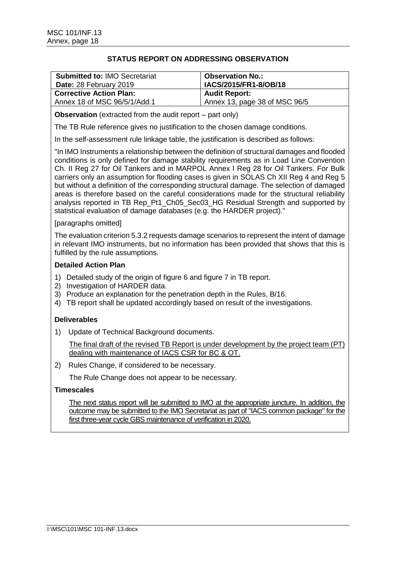| <b>Submitted to: IMO Secretariat</b><br>Date: 28 February 2019 | <b>Observation No.:</b><br>IACS/2015/FR1-8/OB/18 |
|----------------------------------------------------------------|--------------------------------------------------|
| <b>Corrective Action Plan:</b>                                 | <b>Audit Report:</b>                             |
| Annex 18 of MSC 96/5/1/Add.1                                   | Annex 13, page 38 of MSC 96/5                    |

**Observation** (extracted from the audit report – part only)

The TB Rule reference gives no justification to the chosen damage conditions.

In the self-assessment rule linkage table, the justification is described as follows:

"In IMO Instruments a relationship between the definition of structural damages and flooded conditions is only defined for damage stability requirements as in Load Line Convention Ch. II Reg 27 for Oil Tankers and in MARPOL Annex I Reg 28 for Oil Tankers. For Bulk carriers only an assumption for flooding cases is given in SOLAS Ch XII Reg 4 and Reg 5 but without a definition of the corresponding structural damage. The selection of damaged areas is therefore based on the careful considerations made for the structural reliability analysis reported in TB Rep\_Pt1\_Ch05\_Sec03\_HG Residual Strength and supported by statistical evaluation of damage databases (e.g. the HARDER project)."

## [paragraphs omitted]

The evaluation criterion 5.3.2 requests damage scenarios to represent the intent of damage in relevant IMO instruments, but no information has been provided that shows that this is fulfilled by the rule assumptions.

## **Detailed Action Plan**

- 1) Detailed study of the origin of figure 6 and figure 7 in TB report.
- 2) Investigation of HARDER data.
- 3) Produce an explanation for the penetration depth in the Rules, B/16.
- 4) TB report shall be updated accordingly based on result of the investigations.

# **Deliverables**

1) Update of Technical Background documents.

The final draft of the revised TB Report is under development by the project team (PT) dealing with maintenance of IACS CSR for BC & OT.

2) Rules Change, if considered to be necessary.

The Rule Change does not appear to be necessary.

# **Timescales**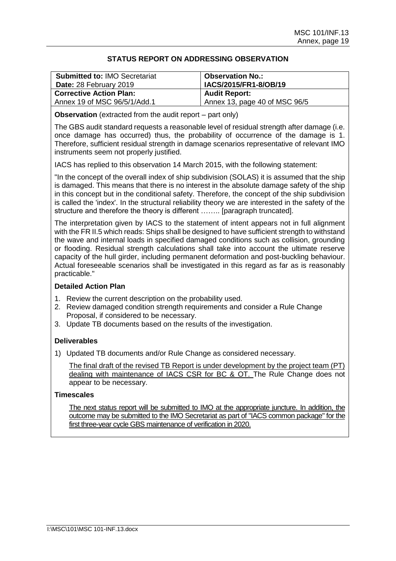| <b>Submitted to: IMO Secretariat</b><br>Date: 28 February 2019 | <b>Observation No.:</b><br>IACS/2015/FR1-8/OB/19 |
|----------------------------------------------------------------|--------------------------------------------------|
| <b>Corrective Action Plan:</b>                                 | <b>Audit Report:</b>                             |
| Annex 19 of MSC 96/5/1/Add.1                                   | Annex 13, page 40 of MSC 96/5                    |

**Observation** (extracted from the audit report – part only)

The GBS audit standard requests a reasonable level of residual strength after damage (i.e. once damage has occurred) thus, the probability of occurrence of the damage is 1. Therefore, sufficient residual strength in damage scenarios representative of relevant IMO instruments seem not properly justified.

IACS has replied to this observation 14 March 2015, with the following statement:

"In the concept of the overall index of ship subdivision (SOLAS) it is assumed that the ship is damaged. This means that there is no interest in the absolute damage safety of the ship in this concept but in the conditional safety. Therefore, the concept of the ship subdivision is called the 'index'. In the structural reliability theory we are interested in the safety of the structure and therefore the theory is different …….. [paragraph truncated].

The interpretation given by IACS to the statement of intent appears not in full alignment with the FR II.5 which reads: Ships shall be designed to have sufficient strength to withstand the wave and internal loads in specified damaged conditions such as collision, grounding or flooding. Residual strength calculations shall take into account the ultimate reserve capacity of the hull girder, including permanent deformation and post-buckling behaviour. Actual foreseeable scenarios shall be investigated in this regard as far as is reasonably practicable."

### **Detailed Action Plan**

- 1. Review the current description on the probability used.
- 2. Review damaged condition strength requirements and consider a Rule Change Proposal, if considered to be necessary.
- 3. Update TB documents based on the results of the investigation.

# **Deliverables**

1) Updated TB documents and/or Rule Change as considered necessary.

The final draft of the revised TB Report is under development by the project team (PT) dealing with maintenance of IACS CSR for BC & OT. The Rule Change does not appear to be necessary.

## **Timescales**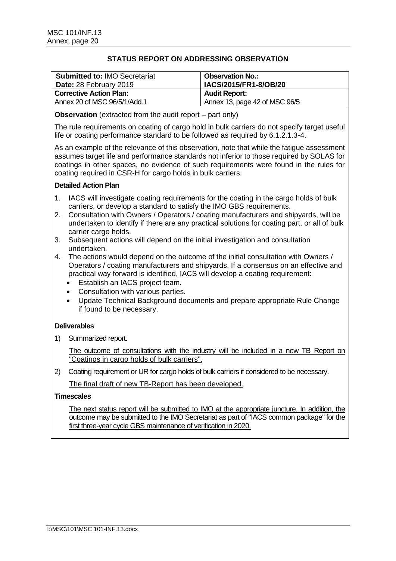| <b>Submitted to: IMO Secretariat</b><br>Date: 28 February 2019 | <b>Observation No.:</b><br><b>IACS/2015/FR1-8/OB/20</b> |
|----------------------------------------------------------------|---------------------------------------------------------|
| <b>Corrective Action Plan:</b>                                 | <b>Audit Report:</b>                                    |
| Annex 20 of MSC 96/5/1/Add.1                                   | Annex 13, page 42 of MSC 96/5                           |

## **Observation** (extracted from the audit report – part only)

The rule requirements on coating of cargo hold in bulk carriers do not specify target useful life or coating performance standard to be followed as required by 6.1.2.1.3-4.

As an example of the relevance of this observation, note that while the fatigue assessment assumes target life and performance standards not inferior to those required by SOLAS for coatings in other spaces, no evidence of such requirements were found in the rules for coating required in CSR-H for cargo holds in bulk carriers.

## **Detailed Action Plan**

- 1. IACS will investigate coating requirements for the coating in the cargo holds of bulk carriers, or develop a standard to satisfy the IMO GBS requirements.
- 2. Consultation with Owners / Operators / coating manufacturers and shipyards, will be undertaken to identify if there are any practical solutions for coating part, or all of bulk carrier cargo holds.
- 3. Subsequent actions will depend on the initial investigation and consultation undertaken.
- 4. The actions would depend on the outcome of the initial consultation with Owners / Operators / coating manufacturers and shipyards. If a consensus on an effective and practical way forward is identified, IACS will develop a coating requirement:
	- Establish an IACS project team.
	- Consultation with various parties.
	- Update Technical Background documents and prepare appropriate Rule Change if found to be necessary.

# **Deliverables**

1) Summarized report.

The outcome of consultations with the industry will be included in a new TB Report on "Coatings in cargo holds of bulk carriers".

2) Coating requirement or UR for cargo holds of bulk carriers if considered to be necessary.

The final draft of new TB-Report has been developed.

### **Timescales**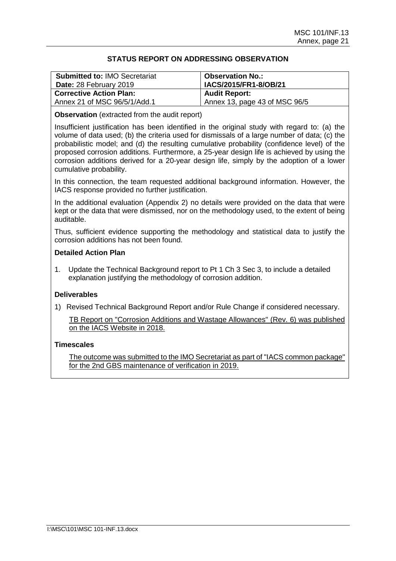| <b>Submitted to: IMO Secretariat</b><br>Date: 28 February 2019 | <b>Observation No.:</b><br>IACS/2015/FR1-8/OB/21 |
|----------------------------------------------------------------|--------------------------------------------------|
| <b>Corrective Action Plan:</b>                                 | <b>Audit Report:</b>                             |
| Annex 21 of MSC 96/5/1/Add.1                                   | Annex 13, page 43 of MSC 96/5                    |

**Observation** (extracted from the audit report)

Insufficient justification has been identified in the original study with regard to: (a) the volume of data used; (b) the criteria used for dismissals of a large number of data; (c) the probabilistic model; and (d) the resulting cumulative probability (confidence level) of the proposed corrosion additions. Furthermore, a 25-year design life is achieved by using the corrosion additions derived for a 20-year design life, simply by the adoption of a lower cumulative probability.

In this connection, the team requested additional background information. However, the IACS response provided no further justification.

In the additional evaluation (Appendix 2) no details were provided on the data that were kept or the data that were dismissed, nor on the methodology used, to the extent of being auditable.

Thus, sufficient evidence supporting the methodology and statistical data to justify the corrosion additions has not been found.

## **Detailed Action Plan**

1. Update the Technical Background report to Pt 1 Ch 3 Sec 3, to include a detailed explanation justifying the methodology of corrosion addition.

# **Deliverables**

1) Revised Technical Background Report and/or Rule Change if considered necessary.

TB Report on "Corrosion Additions and Wastage Allowances" (Rev. 6) was published on the IACS Website in 2018.

### **Timescales**

The outcome was submitted to the IMO Secretariat as part of "IACS common package" for the 2nd GBS maintenance of verification in 2019.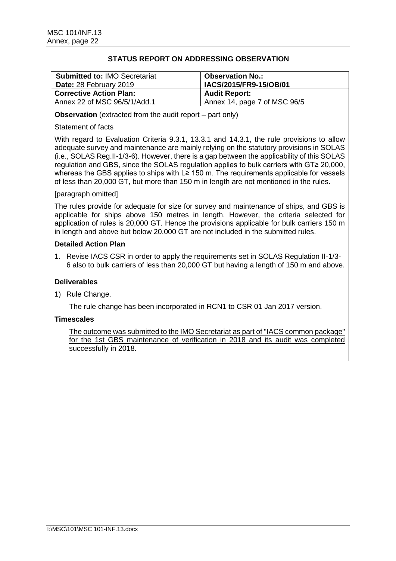| <b>Submitted to: IMO Secretariat</b><br>Date: 28 February 2019 | <b>Observation No.:</b><br>IACS/2015/FR9-15/OB/01 |
|----------------------------------------------------------------|---------------------------------------------------|
| <b>Corrective Action Plan:</b>                                 | <b>Audit Report:</b>                              |
| Annex 22 of MSC 96/5/1/Add.1                                   | Annex 14, page 7 of MSC 96/5                      |

**Observation** (extracted from the audit report – part only)

## Statement of facts

With regard to Evaluation Criteria 9.3.1, 13.3.1 and 14.3.1, the rule provisions to allow adequate survey and maintenance are mainly relying on the statutory provisions in SOLAS (i.e., SOLAS Reg.II-1/3-6). However, there is a gap between the applicability of this SOLAS regulation and GBS, since the SOLAS regulation applies to bulk carriers with GT≥ 20,000, whereas the GBS applies to ships with L≥ 150 m. The requirements applicable for vessels of less than 20,000 GT, but more than 150 m in length are not mentioned in the rules.

## [paragraph omitted]

The rules provide for adequate for size for survey and maintenance of ships, and GBS is applicable for ships above 150 metres in length. However, the criteria selected for application of rules is 20,000 GT. Hence the provisions applicable for bulk carriers 150 m in length and above but below 20,000 GT are not included in the submitted rules.

## **Detailed Action Plan**

1. Revise IACS CSR in order to apply the requirements set in SOLAS Regulation II-1/3- 6 also to bulk carriers of less than 20,000 GT but having a length of 150 m and above.

### **Deliverables**

1) Rule Change.

The rule change has been incorporated in RCN1 to CSR 01 Jan 2017 version.

# **Timescales**

The outcome was submitted to the IMO Secretariat as part of "IACS common package" for the 1st GBS maintenance of verification in 2018 and its audit was completed successfully in 2018.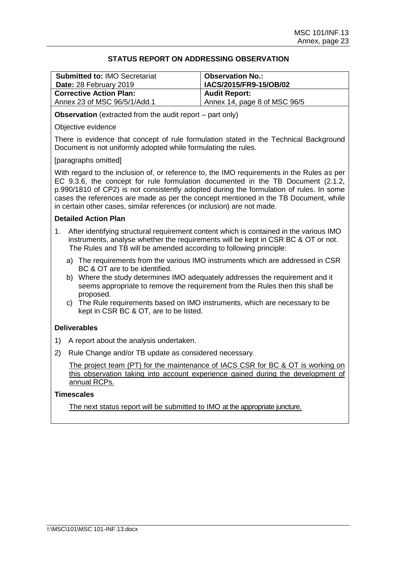| <b>Submitted to: IMO Secretariat</b><br>Date: 28 February 2019 | <b>Observation No.:</b><br>IACS/2015/FR9-15/OB/02 |
|----------------------------------------------------------------|---------------------------------------------------|
| <b>Corrective Action Plan:</b>                                 | <b>Audit Report:</b>                              |
| Annex 23 of MSC 96/5/1/Add.1                                   | Annex 14, page 8 of MSC 96/5                      |

**Observation** (extracted from the audit report – part only)

### Objective evidence

There is evidence that concept of rule formulation stated in the Technical Background Document is not uniformly adopted while formulating the rules.

## [paragraphs omitted]

With regard to the inclusion of, or reference to, the IMO requirements in the Rules as per EC 9.3.6, the concept for rule formulation documented in the TB Document (2.1.2, p.990/1810 of CP2) is not consistently adopted during the formulation of rules. In some cases the references are made as per the concept mentioned in the TB Document, while in certain other cases, similar references (or inclusion) are not made.

## **Detailed Action Plan**

- 1. After identifying structural requirement content which is contained in the various IMO instruments, analyse whether the requirements will be kept in CSR BC & OT or not. The Rules and TB will be amended according to following principle:
	- a) The requirements from the various IMO instruments which are addressed in CSR BC & OT are to be identified.
	- b) Where the study determines IMO adequately addresses the requirement and it seems appropriate to remove the requirement from the Rules then this shall be proposed.
	- c) The Rule requirements based on IMO instruments, which are necessary to be kept in CSR BC & OT, are to be listed.

# **Deliverables**

- 1) A report about the analysis undertaken.
- 2) Rule Change and/or TB update as considered necessary.

The project team (PT) for the maintenance of IACS CSR for BC & OT is working on this observation taking into account experience gained during the development of annual RCPs.

### **Timescales**

The next status report will be submitted to IMO at the appropriate juncture.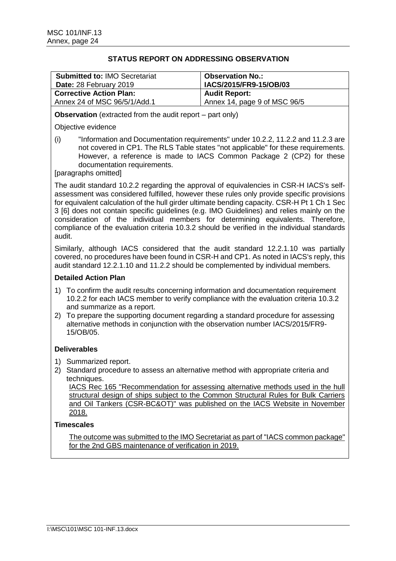| <b>Submitted to: IMO Secretariat</b><br>Date: 28 February 2019 | <b>Observation No.:</b><br>IACS/2015/FR9-15/OB/03 |
|----------------------------------------------------------------|---------------------------------------------------|
| <b>Corrective Action Plan:</b>                                 | <b>Audit Report:</b>                              |
| Annex 24 of MSC 96/5/1/Add.1                                   | Annex 14, page 9 of MSC 96/5                      |

**Observation** (extracted from the audit report – part only)

## Objective evidence

(i) "Information and Documentation requirements" under 10.2.2, 11.2.2 and 11.2.3 are not covered in CP1. The RLS Table states "not applicable" for these requirements. However, a reference is made to IACS Common Package 2 (CP2) for these documentation requirements.

[paragraphs omitted]

The audit standard 10.2.2 regarding the approval of equivalencies in CSR-H IACS's selfassessment was considered fulfilled, however these rules only provide specific provisions for equivalent calculation of the hull girder ultimate bending capacity. CSR-H Pt 1 Ch 1 Sec 3 [6] does not contain specific guidelines (e.g. IMO Guidelines) and relies mainly on the consideration of the individual members for determining equivalents. Therefore, compliance of the evaluation criteria 10.3.2 should be verified in the individual standards audit.

Similarly, although IACS considered that the audit standard 12.2.1.10 was partially covered, no procedures have been found in CSR-H and CP1. As noted in IACS's reply, this audit standard 12.2.1.10 and 11.2.2 should be complemented by individual members.

# **Detailed Action Plan**

- 1) To confirm the audit results concerning information and documentation requirement 10.2.2 for each IACS member to verify compliance with the evaluation criteria 10.3.2 and summarize as a report.
- 2) To prepare the supporting document regarding a standard procedure for assessing alternative methods in conjunction with the observation number IACS/2015/FR9- 15/OB/05.

# **Deliverables**

- 1) Summarized report.
- 2) Standard procedure to assess an alternative method with appropriate criteria and techniques.

IACS Rec 165 "Recommendation for assessing alternative methods used in the hull structural design of ships subject to the Common Structural Rules for Bulk Carriers and Oil Tankers (CSR-BC&OT)" was published on the IACS Website in November 2018.

# **Timescales**

The outcome was submitted to the IMO Secretariat as part of "IACS common package" for the 2nd GBS maintenance of verification in 2019.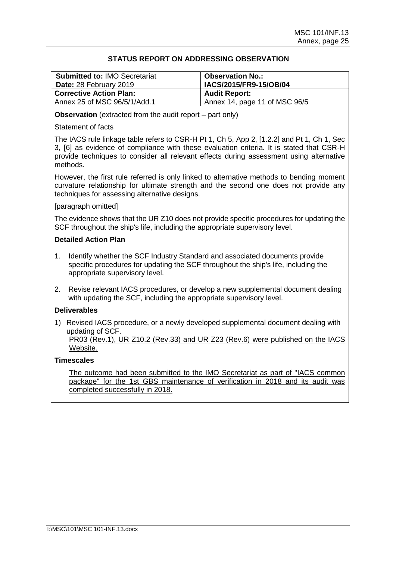| <b>Submitted to: IMO Secretariat</b><br>Date: 28 February 2019 | <b>Observation No.:</b><br><sup>1</sup> IACS/2015/FR9-15/OB/04 |
|----------------------------------------------------------------|----------------------------------------------------------------|
| <b>Corrective Action Plan:</b>                                 | <b>Audit Report:</b>                                           |
| Annex 25 of MSC 96/5/1/Add.1                                   | Annex 14, page 11 of MSC 96/5                                  |

**Observation** (extracted from the audit report – part only)

## Statement of facts

The IACS rule linkage table refers to CSR-H Pt 1, Ch 5, App 2, [1.2.2] and Pt 1, Ch 1, Sec 3, [6] as evidence of compliance with these evaluation criteria. It is stated that CSR-H provide techniques to consider all relevant effects during assessment using alternative methods.

However, the first rule referred is only linked to alternative methods to bending moment curvature relationship for ultimate strength and the second one does not provide any techniques for assessing alternative designs.

## [paragraph omitted]

The evidence shows that the UR Z10 does not provide specific procedures for updating the SCF throughout the ship's life, including the appropriate supervisory level.

## **Detailed Action Plan**

- 1. Identify whether the SCF Industry Standard and associated documents provide specific procedures for updating the SCF throughout the ship's life, including the appropriate supervisory level.
- 2. Revise relevant IACS procedures, or develop a new supplemental document dealing with updating the SCF, including the appropriate supervisory level.

# **Deliverables**

1) Revised IACS procedure, or a newly developed supplemental document dealing with updating of SCF.

PR03 (Rev.1), UR Z10.2 (Rev.33) and UR Z23 (Rev.6) were published on the IACS Website.

### **Timescales**

The outcome had been submitted to the IMO Secretariat as part of "IACS common package" for the 1st GBS maintenance of verification in 2018 and its audit was completed successfully in 2018.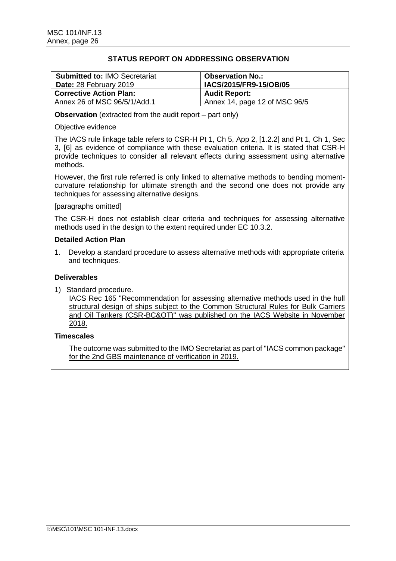| <b>Submitted to: IMO Secretariat</b><br>Date: 28 February 2019 | <b>Observation No.:</b><br>IACS/2015/FR9-15/OB/05 |
|----------------------------------------------------------------|---------------------------------------------------|
| <b>Corrective Action Plan:</b>                                 | <b>Audit Report:</b>                              |
| Annex 26 of MSC 96/5/1/Add.1                                   | Annex 14, page 12 of MSC 96/5                     |

**Observation** (extracted from the audit report – part only)

## Objective evidence

The IACS rule linkage table refers to CSR-H Pt 1, Ch 5, App 2, [1.2.2] and Pt 1, Ch 1, Sec 3, [6] as evidence of compliance with these evaluation criteria. It is stated that CSR-H provide techniques to consider all relevant effects during assessment using alternative methods.

However, the first rule referred is only linked to alternative methods to bending momentcurvature relationship for ultimate strength and the second one does not provide any techniques for assessing alternative designs.

## [paragraphs omitted]

The CSR-H does not establish clear criteria and techniques for assessing alternative methods used in the design to the extent required under EC 10.3.2.

## **Detailed Action Plan**

1. Develop a standard procedure to assess alternative methods with appropriate criteria and techniques.

# **Deliverables**

1) Standard procedure.

IACS Rec 165 "Recommendation for assessing alternative methods used in the hull structural design of ships subject to the Common Structural Rules for Bulk Carriers and Oil Tankers (CSR-BC&OT)" was published on the IACS Website in November 2018.

# **Timescales**

The outcome was submitted to the IMO Secretariat as part of "IACS common package" for the 2nd GBS maintenance of verification in 2019.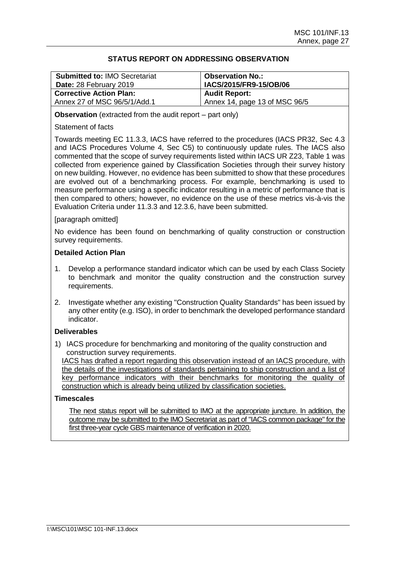| <b>Submitted to: IMO Secretariat</b><br>Date: 28 February 2019 | <b>Observation No.:</b><br>IACS/2015/FR9-15/OB/06 |
|----------------------------------------------------------------|---------------------------------------------------|
| <b>Corrective Action Plan:</b>                                 | <b>Audit Report:</b>                              |
| Annex 27 of MSC 96/5/1/Add.1                                   | Annex 14, page 13 of MSC 96/5                     |

**Observation** (extracted from the audit report – part only)

## Statement of facts

Towards meeting EC 11.3.3, IACS have referred to the procedures (IACS PR32, Sec 4.3 and IACS Procedures Volume 4, Sec C5) to continuously update rules. The IACS also commented that the scope of survey requirements listed within IACS UR Z23, Table 1 was collected from experience gained by Classification Societies through their survey history on new building. However, no evidence has been submitted to show that these procedures are evolved out of a benchmarking process. For example, benchmarking is used to measure performance using a specific indicator resulting in a metric of performance that is then compared to others; however, no evidence on the use of these metrics vis-à-vis the Evaluation Criteria under 11.3.3 and 12.3.6, have been submitted.

## [paragraph omitted]

No evidence has been found on benchmarking of quality construction or construction survey requirements.

### **Detailed Action Plan**

- 1. Develop a performance standard indicator which can be used by each Class Society to benchmark and monitor the quality construction and the construction survey requirements.
- 2. Investigate whether any existing "Construction Quality Standards" has been issued by any other entity (e.g. ISO), in order to benchmark the developed performance standard indicator.

# **Deliverables**

1) IACS procedure for benchmarking and monitoring of the quality construction and construction survey requirements.

IACS has drafted a report regarding this observation instead of an IACS procedure, with the details of the investigations of standards pertaining to ship construction and a list of key performance indicators with their benchmarks for monitoring the quality of construction which is already being utilized by classification societies.

### **Timescales**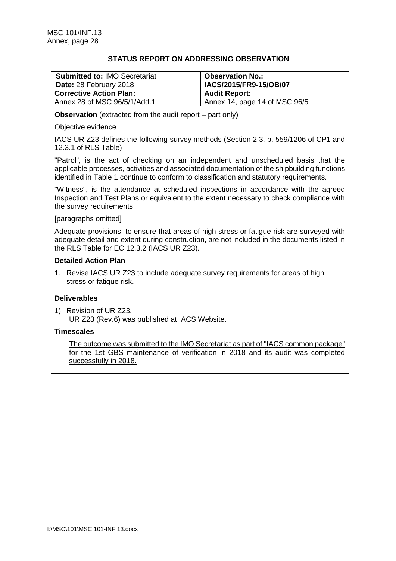| <b>Submitted to: IMO Secretariat</b><br>Date: 28 February 2018 | Observation No.:<br><b>IACS/2015/FR9-15/OB/07</b> |
|----------------------------------------------------------------|---------------------------------------------------|
| <b>Corrective Action Plan:</b>                                 | <b>Audit Report:</b>                              |
| Annex 28 of MSC 96/5/1/Add.1                                   | Annex 14, page 14 of MSC 96/5                     |

**Observation** (extracted from the audit report – part only)

### Objective evidence

IACS UR Z23 defines the following survey methods (Section 2.3, p. 559/1206 of CP1 and 12.3.1 of RLS Table) :

"Patrol", is the act of checking on an independent and unscheduled basis that the applicable processes, activities and associated documentation of the shipbuilding functions identified in Table 1 continue to conform to classification and statutory requirements.

"Witness", is the attendance at scheduled inspections in accordance with the agreed Inspection and Test Plans or equivalent to the extent necessary to check compliance with the survey requirements.

## [paragraphs omitted]

Adequate provisions, to ensure that areas of high stress or fatigue risk are surveyed with adequate detail and extent during construction, are not included in the documents listed in the RLS Table for EC 12.3.2 (IACS UR Z23).

## **Detailed Action Plan**

1. Revise IACS UR Z23 to include adequate survey requirements for areas of high stress or fatique risk.

# **Deliverables**

1) Revision of UR Z23. UR Z23 (Rev.6) was published at IACS Website.

## **Timescales**

The outcome was submitted to the IMO Secretariat as part of "IACS common package" for the 1st GBS maintenance of verification in 2018 and its audit was completed successfully in 2018.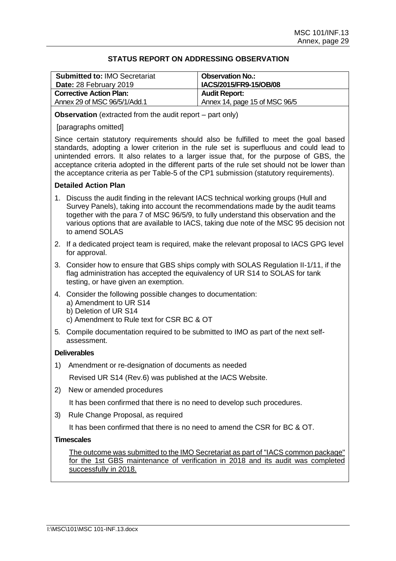| <b>Submitted to: IMO Secretariat</b><br>Date: 28 February 2019 | <b>Observation No.:</b><br>IACS/2015/FR9-15/OB/08 |
|----------------------------------------------------------------|---------------------------------------------------|
| <b>Corrective Action Plan:</b>                                 | <b>Audit Report:</b>                              |
| Annex 29 of MSC 96/5/1/Add.1                                   | Annex 14, page 15 of MSC 96/5                     |

**Observation** (extracted from the audit report – part only)

[paragraphs omitted]

Since certain statutory requirements should also be fulfilled to meet the goal based standards, adopting a lower criterion in the rule set is superfluous and could lead to unintended errors. It also relates to a larger issue that, for the purpose of GBS, the acceptance criteria adopted in the different parts of the rule set should not be lower than the acceptance criteria as per Table-5 of the CP1 submission (statutory requirements).

## **Detailed Action Plan**

- 1. Discuss the audit finding in the relevant IACS technical working groups (Hull and Survey Panels), taking into account the recommendations made by the audit teams together with the para 7 of MSC 96/5/9, to fully understand this observation and the various options that are available to IACS, taking due note of the MSC 95 decision not to amend SOLAS
- 2. If a dedicated project team is required, make the relevant proposal to IACS GPG level for approval.
- 3. Consider how to ensure that GBS ships comply with SOLAS Regulation II-1/11, if the flag administration has accepted the equivalency of UR S14 to SOLAS for tank testing, or have given an exemption.
- 4. Consider the following possible changes to documentation:
	- a) Amendment to UR S14
	- b) Deletion of UR S14
	- c) Amendment to Rule text for CSR BC & OT
- 5. Compile documentation required to be submitted to IMO as part of the next selfassessment.

### **Deliverables**

1) Amendment or re-designation of documents as needed

Revised UR S14 (Rev.6) was published at the IACS Website.

2) New or amended procedures

It has been confirmed that there is no need to develop such procedures.

3) Rule Change Proposal, as required

It has been confirmed that there is no need to amend the CSR for BC & OT.

### **Timescales**

The outcome was submitted to the IMO Secretariat as part of "IACS common package" for the 1st GBS maintenance of verification in 2018 and its audit was completed successfully in 2018.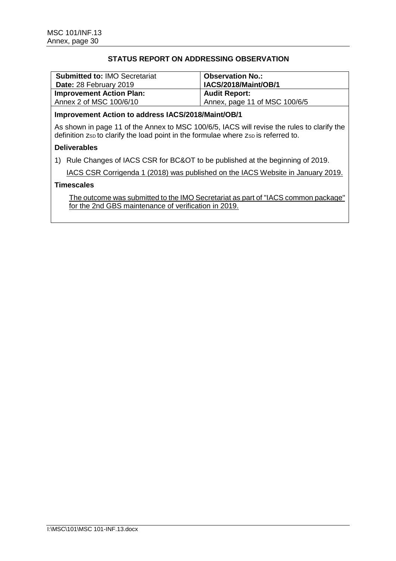| <b>Submitted to: IMO Secretariat</b><br>Date: 28 February 2019 | <b>Observation No.:</b><br>IACS/2018/Maint/OB/1 |
|----------------------------------------------------------------|-------------------------------------------------|
| <b>Improvement Action Plan:</b>                                | <b>Audit Report:</b>                            |
| Annex 2 of MSC 100/6/10                                        | Annex, page 11 of MSC 100/6/5                   |

# **Improvement Action to address IACS/2018/Maint/OB/1**

As shown in page 11 of the Annex to MSC 100/6/5, IACS will revise the rules to clarify the definition zsp to clarify the load point in the formulae where zsp is referred to.

## **Deliverables**

1) Rule Changes of IACS CSR for BC&OT to be published at the beginning of 2019.

IACS CSR Corrigenda 1 (2018) was published on the IACS Website in January 2019.

## **Timescales**

The outcome was submitted to the IMO Secretariat as part of "IACS common package" for the 2nd GBS maintenance of verification in 2019.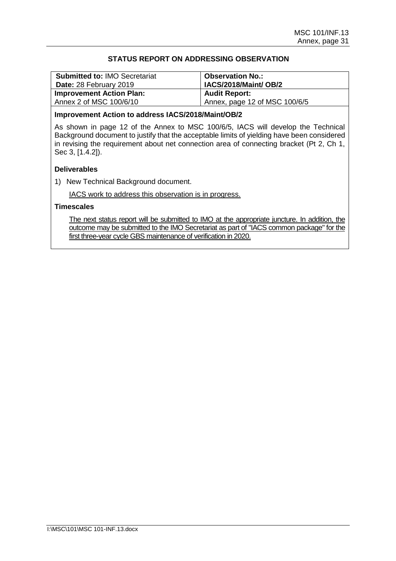| <b>Submitted to: IMO Secretariat</b><br>Date: 28 February 2019 | <b>Observation No.:</b><br>IACS/2018/Maint/OB/2 |
|----------------------------------------------------------------|-------------------------------------------------|
| <b>Improvement Action Plan:</b>                                | <b>Audit Report:</b>                            |
| Annex 2 of MSC 100/6/10                                        | Annex, page 12 of MSC 100/6/5                   |

### **Improvement Action to address IACS/2018/Maint/OB/2**

As shown in page 12 of the Annex to MSC 100/6/5, IACS will develop the Technical Background document to justify that the acceptable limits of yielding have been considered in revising the requirement about net connection area of connecting bracket (Pt 2, Ch 1, Sec 3, [1.4.2]).

# **Deliverables**

1) New Technical Background document.

IACS work to address this observation is in progress.

# **Timescales**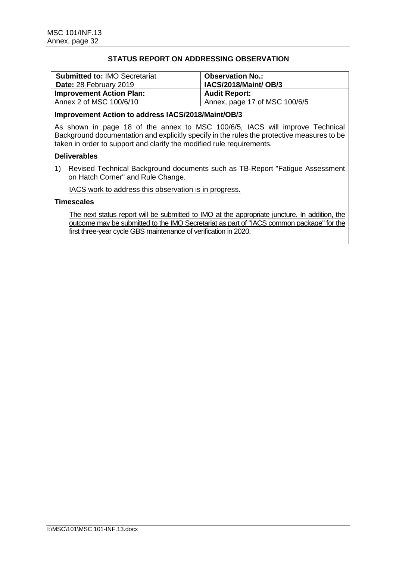| <b>Submitted to: IMO Secretariat</b><br>Date: 28 February 2019 | <b>Observation No.:</b><br>IACS/2018/Maint/ OB/3 |
|----------------------------------------------------------------|--------------------------------------------------|
| <b>Improvement Action Plan:</b>                                | <b>Audit Report:</b>                             |
| Annex 2 of MSC 100/6/10                                        | Annex, page 17 of MSC 100/6/5                    |

## **Improvement Action to address IACS/2018/Maint/OB/3**

As shown in page 18 of the annex to MSC 100/6/5, IACS will improve Technical Background documentation and explicitly specify in the rules the protective measures to be taken in order to support and clarify the modified rule requirements.

## **Deliverables**

1) Revised Technical Background documents such as TB-Report "Fatigue Assessment on Hatch Corner" and Rule Change.

IACS work to address this observation is in progress.

# **Timescales**